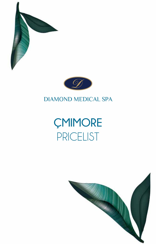



**DIAMOND MEDICAL SPA** 

## CMIMORE PRICELIST

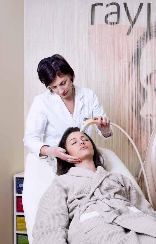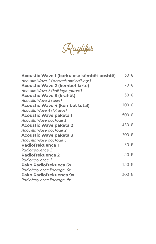**Raylifes**

| Acoustic Wave 1 (barku ose këmbët poshtë) | 50 €  |
|-------------------------------------------|-------|
| Acoustic Wave 1 (stomach and half legs)   |       |
| <b>Acoustic Wave 2 (këmbët lartë)</b>     | 70 €  |
| Acoustic Wave 2 (half legs upward)        |       |
| <b>Acoustic Wave 3 (krahët)</b>           | 30 €  |
| Acoustic Wave 3 (arms)                    |       |
| <b>Acoustic Wave 4 (këmbët total)</b>     | 100 € |
| Acoustic Wave 4 (full legs)               |       |
| <b>Acoustic Wave paketa 1</b>             | 500 € |
| Acoustic Wave package 1                   |       |
| <b>Acoustic Wave paketa 2</b>             | 450 € |
| Acoustic Wave package 2                   |       |
| <b>Acoustic Wave paketa 3</b>             | 200 € |
| Acoustic Wave package 3                   |       |
| <b>Radiofrekuenca 1</b>                   | 30 €  |
| Radiofrequence 1                          |       |
| Radiofrekuenca 2                          | 50 €  |
| Radiofrequence 2                          |       |
| Pako Radiofrekueca 6x                     | 150 € |
| Radiofrequence Package 6x                 |       |
| Pako Radiofrekuenca 9x                    | 300 € |
| Radiofrequence Package 9x                 |       |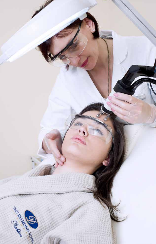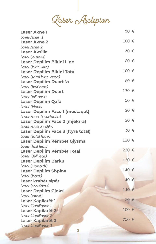**Laser Asclepion**

| <b>Laser Akne 1</b>                       | 50 €  |   |
|-------------------------------------------|-------|---|
| Laser Acne 1                              |       |   |
| <b>Laser Akne 2</b>                       | 100 € |   |
| Laser Acne 2                              |       |   |
| <b>Laser Aksilla</b>                      | 30 €  |   |
| Laser (armpits)                           |       |   |
| <b>Laser Depilim Bikini Line</b>          | 60 €  |   |
| Laser (bikini line)                       |       |   |
| <b>Laser Depilim Bikini Total</b>         | 100 € |   |
| Laser (total bikini area)                 |       |   |
| Laser Depilim Duart 1/2                   | 60 €  |   |
| Laser (half arms)                         |       |   |
| <b>Laser Depilim Duart</b>                | 120 € |   |
| Laser (full arms)                         |       |   |
| <b>Laser Depilim Qafa</b>                 | 50 €  |   |
| Laser (Neck)                              |       |   |
| <b>Laser Depilim Face 1 (mustaget)</b>    | 20 €  |   |
| Laser Face 1(mustache)                    |       |   |
| <b>Laser Depilim Face 2 (mjekrra)</b>     | 20 €  |   |
| Laser Face 2 (chin)                       |       |   |
| <b>Laser Depilim Face 3 (ftyra total)</b> | 30 €  |   |
| Laser (total face)                        |       |   |
| Laser Depilim Këmbët Gjysma               | 120 € |   |
| Laser (half legs)                         |       |   |
| Laser Depilim Këmbët Total                | 220 € |   |
| Laser (full legs)                         |       |   |
| <b>Laser Depilim Barku</b>                | 120 € |   |
| Laser (stomach)                           |       |   |
| <b>Laser Depilim Shpina</b>               | 140 € |   |
| Laser (back)                              |       |   |
| Laser krahët sipër                        | 40 €  |   |
| Laser (shoulders)                         |       |   |
| Laser Depilim Gjoksi                      | 140 € |   |
| Laser (chest)                             |       |   |
| Laser Kapilarët 1                         | 50 €  |   |
| Laser Capillaries 1                       |       |   |
| <b>Laser Kapilarët 2</b>                  | 100   | € |
| <b>Laser Capillaries 2</b>                |       |   |
| Laser Kapilarët 3                         | 250 € |   |
| <b>Laser Capillaries 3</b>                |       |   |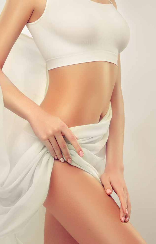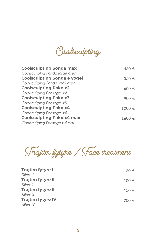**Coolsculpting**

| <b>Coolsculpting Sonda max</b>     | 450 €  |
|------------------------------------|--------|
| Coolscultping Sonda large area     |        |
| <b>Coolsculpting Sonda e vogël</b> | 350 €  |
| Coolscultping Sonda small area     |        |
| <b>Coolsculpting Pako x2</b>       | 600€   |
| Coolscultping Package x2           |        |
| <b>Coolsculpting Pako x3</b>       | 900 €  |
| Coolscultping Package x3           |        |
| <b>Coolsculpting Pako x4</b>       | 1200 € |
| Coolscultping Package x4           |        |
| <b>Coolsculpting Pako x4 max</b>   | 1600 € |
| Coolscultping Package x 4 max      |        |

**Trajtim fytyre / Face treatment**

| <b>Trajtim fytyre I</b>   | 50 €  |
|---------------------------|-------|
| Fillers 1                 |       |
| <b>Trajtim fytyre II</b>  | 100 € |
| Fillers II                |       |
| <b>Trajtim fytyre III</b> | 150 € |
| Fillers III               |       |
| <b>Trajtim fytyre IV</b>  | 200 € |
| Fillers IV                |       |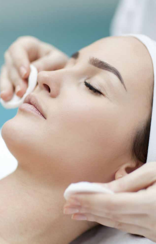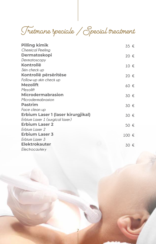**Tretmane speciale / Special treatment**

| <b>Pilling kimik</b>               | 35 €  |
|------------------------------------|-------|
| <b>Chemical Peeling</b>            |       |
| Dermatoskopi                       | 20 €  |
| Dermatoscopy                       |       |
| <b>Kontrollë</b>                   | 10 €  |
| Skin check up                      |       |
| Kontrollë përsëritëse              | 20 €  |
| Follow-up skin check up            |       |
| <b>Mezolift</b>                    | 60 €  |
| <b>Mezolift</b>                    |       |
| <b>Microdermabrasion</b>           | 30 €  |
| Microdermabrasion                  |       |
| <b>Pastrim</b>                     | 30 €  |
| Face clean up                      |       |
| Erbium Laser 1 (laser kirurgjikal) | 30 €  |
| Erbium Laser 1 (surgical laser)    |       |
| <b>Erbium Laser 2</b>              | 50 €  |
| Erbium Laser 2                     |       |
| <b>Erbium Laser 3</b>              | 100 € |
| Erbium Laser 3                     |       |
| <b>Elektrokauter</b>               | 30 €  |
| Electrocautery                     |       |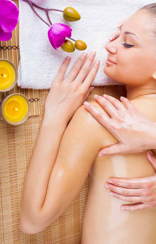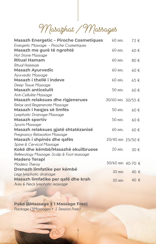**Masazhat / Massages**

| <b>Masazh Energetic - Piroche Cosmetiques</b> | 60 min.            | 72€  |
|-----------------------------------------------|--------------------|------|
| Energetic Massage - Piroche Cosmetiques       |                    |      |
| Masazh me gurë të ngrohtë                     | $60$ min.          | 60€  |
| <b>Hot Stone Massage</b>                      |                    |      |
| <b>Ritual Hamam</b>                           | 60 min.            | 80€  |
| <b>Ritual Hammam</b>                          |                    |      |
| <b>Masazh Ayurvedic</b>                       | 60 min.            | 60€  |
| <b>Ayurvedic Massage</b>                      |                    |      |
| Masazh i thellë i indeve                      | 60 min.            | 65€  |
| <b>Deep Tissue Massage</b>                    |                    |      |
| <b>Masazh anticelulit</b>                     | 50 min.            | 60€  |
| <b>Anti-Cellulite Massage</b>                 |                    |      |
| <b>Masazh relaksues dhe rigjenerues</b>       | 30/60 min. 30/55 € |      |
| <b>Relax and Regenerate Massage</b>           |                    |      |
| Masazh i hegjes së limfës                     | 50 min.            | 60€  |
| Lymphatic Drainage Massage                    |                    |      |
| <b>Masazh sportiv</b>                         | 50 min.            | 60€  |
| <b>Sports Massage</b>                         |                    |      |
| Masazh relaksues gjatë shtatëzanisë           | 60 min.            | 60€  |
| <b>Pregnancy Relaxation Massage</b>           |                    |      |
| Masazh i shpinës dhe gafës                    | 20/40 min 25/50 €  |      |
| <b>Spine &amp; Cervical Massage</b>           |                    |      |
| Kokë dhe këmbë/Masazhë ekuilbruese            | 20 min.            | 30 € |
| Reflexology Massage: Scalp & Foot massage     |                    |      |
| <b>Madero Terapi</b>                          |                    |      |
| <b>Madero Theray</b>                          | 30/60 min 40-70 €  |      |
| Drenazh limfatike per këmbë                   |                    |      |
| Legs lymphatic drainage                       | 30 min             | 40 € |
| Masazh limfatike per qafë dhe krah            | 30 min             | 40 € |
| Arms & Neck lymphatic massage                 |                    |      |

**Pako (5Massage + 1 Massage Free)** *Package (5Massages + 1 Session Free)*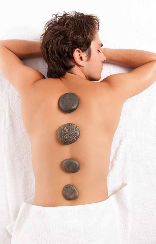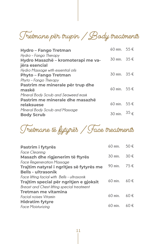**Tretmane për trupin / Body treatments**

| <b>Hydro - Fango Tretman</b><br>Hydro - Fango Therapy | 60 min. 55 € |               |
|-------------------------------------------------------|--------------|---------------|
| Hydro Masazhë - kromoterapi me va-                    | 30 min. 35 € |               |
| jëra esencial                                         |              |               |
| Hydro Massage with essential oils                     |              |               |
| <b>Phyto - Fango Tretman</b>                          | 30 min. 35 € |               |
| Phyto - Fango Therapy                                 |              |               |
| Pastrim me minerale për trup dhe                      |              |               |
| maskë                                                 | 60 min. 55 € |               |
| Mineral Body Scrub and Seaweed mask                   |              |               |
| Pastrim me minerale dhe masazhë                       |              |               |
| relaksuese                                            | 60 min. 55 € |               |
| Mineral Body Scrub and Massage<br><b>Body Scrub</b>   | 30 min.      | $35 \epsilon$ |

**Tretmane të fytyrës / Face treatments**

| 60 min. | 50€                                                            |
|---------|----------------------------------------------------------------|
|         |                                                                |
|         | 30€                                                            |
|         |                                                                |
|         |                                                                |
|         |                                                                |
|         |                                                                |
|         | 60€                                                            |
|         |                                                                |
|         |                                                                |
|         | $60 \in$                                                       |
|         |                                                                |
|         | $60 \in$                                                       |
|         | 30 min.<br>90 min. 75 €<br>$60$ min.<br>$60$ min.<br>$60$ min. |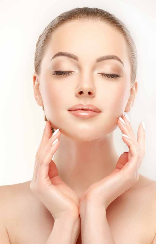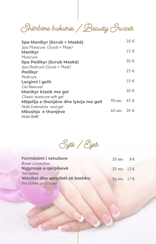**Shërbime bukurie / Beauty Srvices**

| Spa Manikyr (Scrub + Maskë)                   |              | 20 € |
|-----------------------------------------------|--------------|------|
| Spa Manicure (Scrub + Mask)<br><b>Manikyr</b> |              | 15 € |
| <b>Manicure</b>                               |              |      |
| Spa Pedikyr (Scrub Maskë)                     |              | 30 € |
| Spa Pedicure (Scrub + Mask)                   |              |      |
| <b>Pedikyr</b>                                |              | 25 € |
| Pedicure                                      |              |      |
| Largimi i gelit                               |              | 10 € |
| Gel Removel                                   |              |      |
| Manikyr klasik me gel                         |              | 30 € |
| Classic manicure with gel                     |              |      |
| Mbjellja e thonjëve dhe lyerja me gell        | 90 min. 45 € |      |
| Nails Extensions and gel                      |              |      |
| Mbushja e thonjëve                            | 60 min. 20 € |      |
| <b>Nails Refill</b>                           |              |      |

**Sytë / Eyes**

| Formësimi i vetullave           | 20 min. $8 \in$  |  |
|---------------------------------|------------------|--|
| <b>Brows correction</b>         |                  |  |
| Ngjyrosje e qerpikevë           | 20 min. $12 \in$ |  |
| <b>Tint lashes</b>              |                  |  |
| Vetullat dhe gerpikët së bashku | 30 min. 17 €     |  |
| <b>Tint lashes and brows</b>    |                  |  |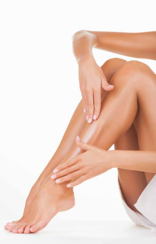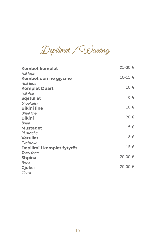**Depilimet / Waxing**

| Këmbët komplet             | 25-30 € |
|----------------------------|---------|
| <b>Full legs</b>           |         |
| Këmbët deri në gjysmë      | 10-15 € |
| Half legs                  |         |
| <b>Komplet Duart</b>       | 10€     |
| <b>Full Arm</b>            |         |
| <b>Sqetullat</b>           | 8€      |
| <b>Shoulders</b>           |         |
| <b>Bikini line</b>         | 10€     |
| <b>Bikini line</b>         |         |
| <b>Bikini</b>              | 20 €    |
| Bikini                     |         |
| <b>Mustaget</b>            | 5€      |
| Mustache                   |         |
| <b>Vetullat</b>            | 8€      |
| Eyebrows                   |         |
| Depilimi i komplet fytyrës | 15 €    |
| <b>Total face</b>          |         |
| <b>Shpina</b>              | 20-30 € |
| <b>Back</b>                |         |
| <b>Gjoksi</b>              | 20-30 € |
| Chest                      |         |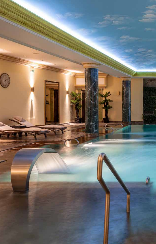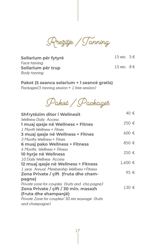**Rrezitje / Tanning**

**Sollarium për fytyrë** *Face tanning* **Sollarium për trup** *Body tanning*

**15 min. 5 €**

**15 min. 8 €**

## **Pakot (5 seanca solarium + 1 seancë gratis)** *Packages(5 tanning session + 1 free session)*

**Pakot / Packages**

| Shfrytëzim ditor i Wellnesit                     | 40 €        |
|--------------------------------------------------|-------------|
| <b>Wellness Daily Access</b>                     |             |
| 1 muaj gasje në Wellness + Fitnes                | 250 €       |
| 1 Month Wellness + Fitnes                        |             |
| 3 muaj gasje në Wellness + Fitnes                | 600 €       |
| 3 Months Wellness + Fitnes                       |             |
| 6 muaj pako Wellness + Fitness                   | 850 €       |
| 6 Months Wellness + Fitness                      |             |
| 10 hyrje në Wellness                             | 250 €       |
| 10 Daily Wellness Access                         |             |
| 12 muaj qasje në Wellness + Fitness              | $1,600 \in$ |
| 1 year Annual Membership Wellness + Fitness      |             |
| Zona Private / cift (fruta dhe cham-             | 95 €        |
| pagne)                                           |             |
| Private zone for couples (fruits and cha pagne)  |             |
| Zona Private / çift / 30 min. masazh             | 130 €       |
| (fruta dhe shampanjë)                            |             |
| Private Zone for couples/ 30 min massage (fruits |             |
| and champagne)                                   |             |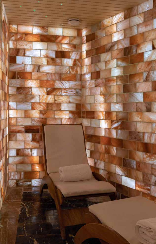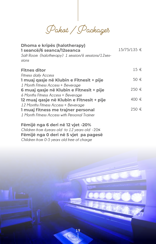**Pakot / Packages**

| Dhoma e kripës (halotherapy)<br>1 seancë/6 seanca/12 seanca<br>Salt Room (halotherapy) 1 session/6 sessions/12ses-<br>sions | 15/75/135 € |
|-----------------------------------------------------------------------------------------------------------------------------|-------------|
| <b>Fitnes ditor</b>                                                                                                         | 15€         |
| <b>Fitness daily Access</b>                                                                                                 |             |
| 1 muaj gasje në Klubin e Fitnesit + pije                                                                                    | 50 €        |
| 1 Month Fitness Access + Beverage                                                                                           |             |
| 6 muaj qasje në Klubin e Fitnesit + pije                                                                                    | 250 €       |
| 6 Months Fitness Access + Beverage                                                                                          |             |
|                                                                                                                             |             |

**12 muaj qasje në Klubin e Fitnesit + pije** *12 Months Fitness Access + Beverage* **1 muaj fitness me trajner personal**  *1 Month Fitness Access with Personal Trainer*  **400 € 250 €**

**Fëmijë nga 6 deri në 12 vjet -20%** *Children from 6years old to 12 years old* **-20% Fëmijë nga 0 deri në 5 vjet pa pagesë** *Children from 0-5 years old free of charge*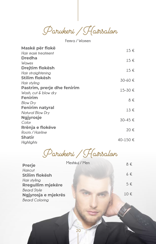**Parukeri / Hairsalon**

**Femra / Women**

| Maskë për flokë             | 15 €    |
|-----------------------------|---------|
| Hair mask treatment         |         |
| <b>Dredha</b>               | 15€     |
| <b>Wawes</b>                |         |
| Drejtim flokësh             | 15€     |
| Hair straightening          |         |
| Stilim flokësh              | 30-60€  |
| Hair styling                |         |
| Pastrim, prerje dhe fenirim | 15-30€  |
| Wash, cut & blow dry        |         |
| Fenirim                     | $8 \in$ |
| <b>Blow Dry</b>             |         |
| <b>Fenirim natyral</b>      | 13 €    |
| <b>Natural Blow Dry</b>     |         |
| <b>Ngjyrosje</b>            | 30-45€  |
| Color                       |         |
| Rrënja e flokëve            | 20 €    |
| Roots / Hairline            |         |
| <b>Shatir</b>               | 40-150€ |
| <b>Highlights</b>           |         |

**Parukeri / Hairsalon**

| <b>Prerje</b>                             | Meshkuj / Men | 8€      |
|-------------------------------------------|---------------|---------|
| Haircut<br>Stilim flokësh                 |               | $6 \in$ |
| Hair styling<br><b>Rregullim mjekëre</b>  |               | 5€      |
| <b>Beard Style</b><br>Ngjyrosja e mjekrës |               | 10€     |
| <b>Beard Coloring</b>                     |               |         |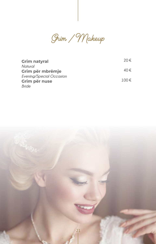**Grim / Makeup**

| <b>Grim natyral</b>      | $20 \in$  |
|--------------------------|-----------|
| <b>Natural</b>           |           |
| Grim për mbrëmje         | $40 \in$  |
| Evening/Special Occasion |           |
| Grim për nuse            | $100 \in$ |
| <b>Bride</b>             |           |